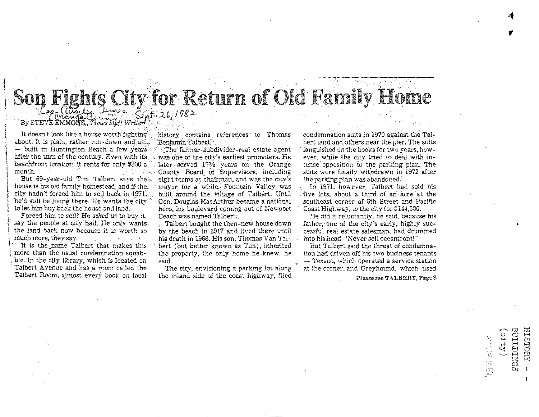### aalamaanaanaanaa ka<br>I **ts City for Return of Old Family Home** By STEVE EMMONS, Times Staff Writer

It doesn't look like a house worth fighting '... history' contains references to Thomas condemnation suits in 1970 against the Tal-<br>Nout. It is plain, rather run-down and old "Benjamin Talbert." about. It is plain, rather run-down and old,BenjamlnTalbert.' . bert land and others near the pier. The suits - built in Huntington Beach a few years . The farmer-subdivider-real estate agent in languished on the books for two years, how-<br>after the turn of the century. Even with its was one of the city's earliest promoters. He is

But 69-year-old Tim Talbert says the eight terms as chairman, and was the city's the parking plan was abandoned.<br>house is his old family homestead, and if the mayor for a while. Fountain Valley was the 1971, however, Talbe city hadn't forced him to sell back in 1971, built around the village of Talbert. Until ' .five lots, about a third of an acre at the<br>he'd still be living there. He wants the city ' Gen. Douglas MacArthur became a national he'd still be living there. He wants the city Gen: Douglas MacArthur became a national southeast corner of 6th Street and Pacific to let him buy back the house and land. Such a hero, his boulevard coming out of Newport Goa

I say the people at city hail. He only wants  $\sim$  Talbert bought the then-new house down father, one of the city's early, highly suc-<br>the land back now because it is worth so by the beach in 1917 and lived there until cess

It is the name Talbert that makes this the fiert (but better known as Tim), inherited more than the usual condemnation squab-<br>But The property, the only home he knew, he threat of condensation squabble. In the city library, which is located on said, said, said, and the control of the corner, and Greyhound, which used a service station of the corner and the corner, and Greyhound, which used Talbert Avenue and has a room called the The city, envisioning a parking lot along at the corner, and Greyhound, which used<br>Talbert Room, almost every book on local the inland side of the coast highway. filed and the corne

was one of the city's earliest promoters. He onth, County Board of Supervisors, including suits were finally  $\mathbb{R}^n$  . County Board of Supervisors, including  $\mathbb{R}^n$  and  $\mathbb{R}^n$  and  $\mathbb{R}^n$  and  $\mathbb{R}^n$  after finally summand  $\mathbb{R}^n$  and  $\mathbb{R}^n$  a to let him buy back the house and land, hero, his boulevard coming out of Newport  $\Gamma$  Forced him to sell? He asked us to buy it, heach was named Talbert.

l, **the land ·back now because jt is worth** so· **by the beach in 1917 and lived there until cessful real estate salesman. had drummed**  , muchmore, they say., .~his death in 1968. His son, Thomas Van Tal- into his head. "Never sell oceanfront!" more than the usual condemnation squab- the property, the only home he knew, he tion had driven off his two business tenants<br>ble. In the city library, which is located on said. Said, and the only home he knew, he tion had

the inland side of the coast highway. filed **Figure 2008** Please see TALBERT, Page 8

beachfront location, it rents for only \$300 a , later served 17½ years on the Orange tense opposition to the parking plan. The month. The month is a county Board of Supervisors, including suits were finally withdrawn in 19

Forced him to sell? He *asked* us to buy it, Beach was named Talbert **Hero him and it reluctantly, he said, because his** say the people at city hall. He only wants Talbert hought the then-new house down father one of the c

 $\sim$   $\upmu$   $\upmu$  $\circ$  g F

ORY -<br>DINGS<br>Y)

 $\overline{\text{A}}$ UOLSIT rf t-< 8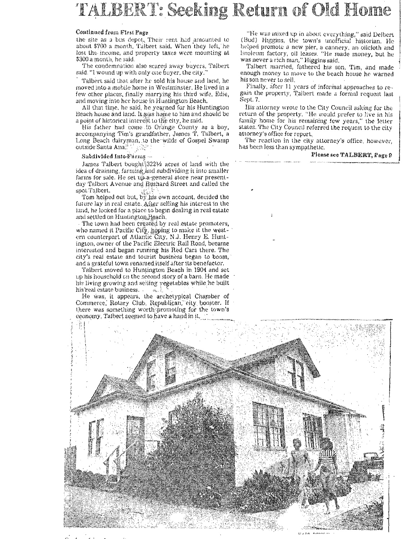# TALBERT: Seeking Return of Old Home

### Continued from First Page

the site as a bus depot, Their rent had amounted to about \$700 a month, Talbert said. When they left, he lost the income, and property taxes were mounting at \$300 a month, he said.

The condemnation also scared away buyers, Talbert said. "I wound up with only one buyer, the city."

Talbert said that after he sold his house and land, he moved into a mobile home in Westminster. He lived in a few other places, finally marrying his third wife, Edie, and moving into her house in Huntington Beach,

All that time, he said, he yearned for his Huntington Beach house and land. It was home to him and should be a point of historical interest to the city, he said.

His father had come to Orange County as a boy, accompanying Tim's grandfather, James T. Talbert, a Long Beach dairyman, to the wilds of Gospel Swamp outside Santa Analysis of  $\mathbb{R}^n$ 

#### Subdivided Into-Farms

James Talbert bought 3221/2 acres of land with the idea of draining, farming and subdividing it into smaller farms for sale. He set up a general store near presentday Taibert Avenue and Bushard Street and called the spot Talbert.

Tom helped out but,  $b_{\lambda}^{\text{max}}$  is own account, decided the future lay in real estate. After selling his interest in the land, he looked for a place to begin dealing in real estate and settled on Huntington Heach.

The town had been created by real estate promoters, who named it Pacific City, hoping to make it the west-<br>ern counterpart of Atlantic City, N.J. Henry E. Huntington, owner of the Pacific Electric Rail Road, became interested and began running his Red Cars there. The city's real estate and tourist business began to boom, and a grateful town renamed itself after its benefactor.

Talbert moved to Huntington Beach in 1904 and set up his household on the second story of a barn. He made his living growing and selling yegetables while he built his real estate business. i Ser

He was, it appears, the archetypical Chamber of Commerce, Rotary Club, Republican, eity booster. If there was something worth promoting for the town's economy, Talbert seemed to have a hand in it,

"He was mixed up in about everything," said Delbert (Bud) Higgins, the town's unofficial historian. He helped promote a new pier, a cannery, an oilcloth and<br>linoleum factory, oil leases. "He made money, but he was never a rich man," Higgins said.

Talbert married, fathered his son, Tim, and made enough money to move to the beach house he warned his son never to sell.

Finally, after 11 years of informal approaches to regain the property, Talbert made a formal request last Sept. 7.

His attorney wrote to the City Council asking for the return of the property. "He would prefer to live in his family home for his remaining few years," the letter states. The City Council referred the request to the city attorney's office for report.

The reaction in the city attorney's office, however, has been less than sympathetic.

### Please see TALBERT, Fage 9